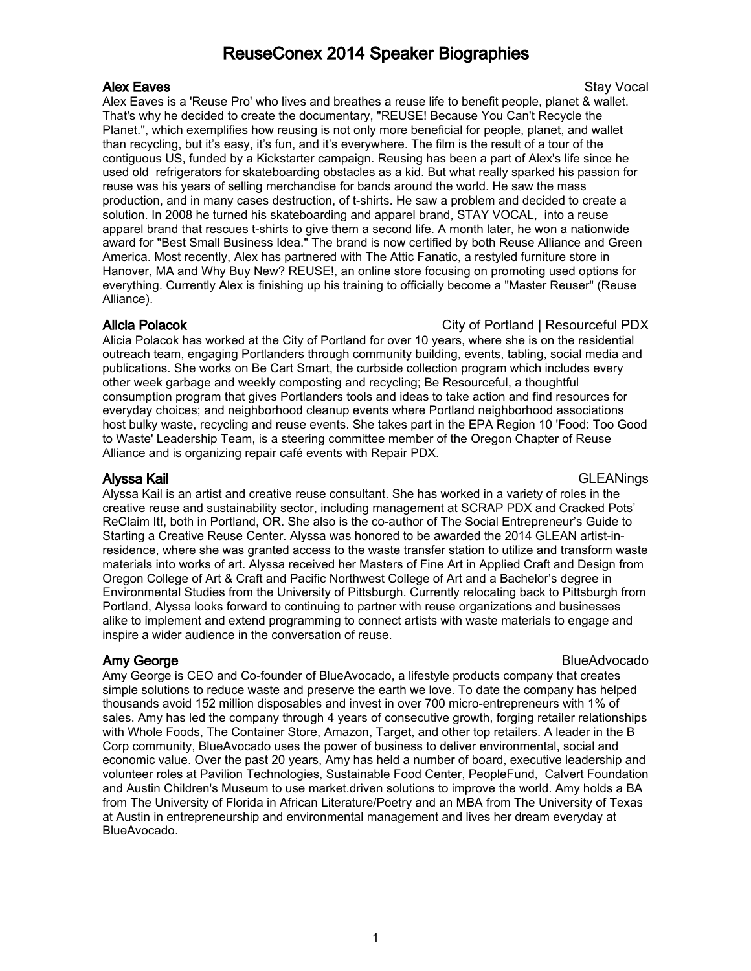# ReuseConex 2014 Speaker Biographies

### Alex Eaves and the state of the state of the state of the state of the Stay Vocal stay Vocal state of the Stay

Alex Eaves is a 'Reuse Pro' who lives and breathes a reuse life to benefit people, planet & wallet. That's why he decided to create the documentary, "REUSE! Because You Can't Recycle the Planet.", which exemplifies how reusing is not only more beneficial for people, planet, and wallet than recycling, but it's easy, it's fun, and it's everywhere. The film is the result of a tour of the contiguous US, funded by a Kickstarter campaign. Reusing has been a part of Alex's life since he used old refrigerators for skateboarding obstacles as a kid. But what really sparked his passion for reuse was his years of selling merchandise for bands around the world. He saw the mass production, and in many cases destruction, of t-shirts. He saw a problem and decided to create a solution. In 2008 he turned his skateboarding and apparel brand, STAY VOCAL, into a reuse apparel brand that rescues t-shirts to give them a second life. A month later, he won a nationwide award for "Best Small Business Idea." The brand is now certified by both Reuse Alliance and Green America. Most recently, Alex has partnered with The Attic Fanatic, a restyled furniture store in Hanover, MA and Why Buy New? REUSE!, an online store focusing on promoting used options for everything. Currently Alex is finishing up his training to officially become a "Master Reuser" (Reuse Alliance).

### Alicia Polacok **City of Portland | Resourceful PDX**

Alicia Polacok has worked at the City of Portland for over 10 years, where she is on the residential outreach team, engaging Portlanders through community building, events, tabling, social media and publications. She works on Be Cart Smart, the curbside collection program which includes every other week garbage and weekly composting and recycling; Be Resourceful, a thoughtful consumption program that gives Portlanders tools and ideas to take action and find resources for everyday choices; and neighborhood cleanup events where Portland neighborhood associations host bulky waste, recycling and reuse events. She takes part in the EPA Region 10 'Food: Too Good to Waste' Leadership Team, is a steering committee member of the Oregon Chapter of Reuse Alliance and is organizing repair café events with Repair PDX.

Alyssa Kail GLEANings

Alyssa Kail is an artist and creative reuse consultant. She has worked in a variety of roles in the creative reuse and sustainability sector, including management at SCRAP PDX and Cracked Pots' ReClaim It!, both in Portland, OR. She also is the co-author of The Social Entrepreneur's Guide to Starting a Creative Reuse Center. Alyssa was honored to be awarded the 2014 GLEAN artist-inresidence, where she was granted access to the waste transfer station to utilize and transform waste materials into works of art. Alyssa received her Masters of Fine Art in Applied Craft and Design from Oregon College of Art & Craft and Pacific Northwest College of Art and a Bachelor's degree in Environmental Studies from the University of Pittsburgh. Currently relocating back to Pittsburgh from Portland, Alyssa looks forward to continuing to partner with reuse organizations and businesses alike to implement and extend programming to connect artists with waste materials to engage and inspire a wider audience in the conversation of reuse.

**Amy George BlueAdvocado BlueAdvocado BlueAdvocado** 

Amy George is CEO and Co-founder of BlueAvocado, a lifestyle products company that creates simple solutions to reduce waste and preserve the earth we love. To date the company has helped thousands avoid 152 million disposables and invest in over 700 micro-entrepreneurs with 1% of sales. Amy has led the company through 4 years of consecutive growth, forging retailer relationships with Whole Foods, The Container Store, Amazon, Target, and other top retailers. A leader in the B Corp community, BlueAvocado uses the power of business to deliver environmental, social and economic value. Over the past 20 years, Amy has held a number of board, executive leadership and volunteer roles at Pavilion Technologies, Sustainable Food Center, PeopleFund, Calvert Foundation and Austin Children's Museum to use market.driven solutions to improve the world. Amy holds a BA from The University of Florida in African Literature/Poetry and an MBA from The University of Texas at Austin in entrepreneurship and environmental management and lives her dream everyday at BlueAvocado.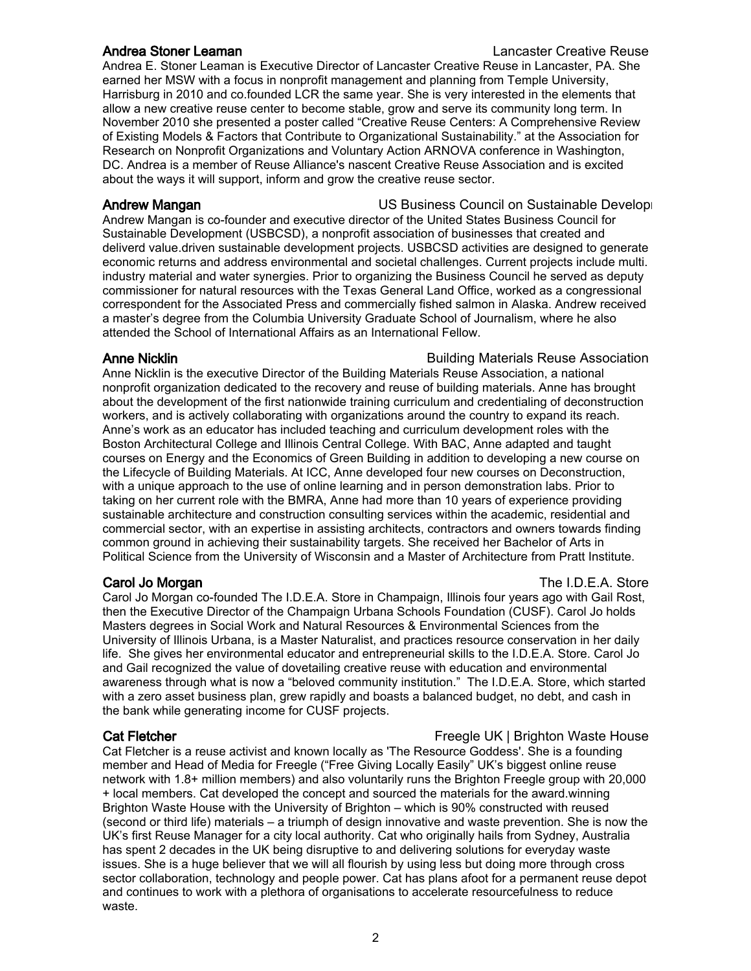Andrea Stoner Leaman Lancaster Creative Reuse Andrea E. Stoner Leaman is Executive Director of Lancaster Creative Reuse in Lancaster, PA. She earned her MSW with a focus in nonprofit management and planning from Temple University, Harrisburg in 2010 and co.founded LCR the same year. She is very interested in the elements that allow a new creative reuse center to become stable, grow and serve its community long term. In November 2010 she presented a poster called "Creative Reuse Centers: A Comprehensive Review

of Existing Models & Factors that Contribute to Organizational Sustainability." at the Association for Research on Nonprofit Organizations and Voluntary Action ARNOVA conference in Washington, DC. Andrea is a member of Reuse Alliance's nascent Creative Reuse Association and is excited about the ways it will support, inform and grow the creative reuse sector.

Andrew Mangan **Nangan Late Council on Sustainable Development Connect Council on Sustainable Development Connect Connect Connect Connect Connect Connect Connect Connect Connect Connect Connect Connect Connect Connect Con** Andrew Mangan is co-founder and executive director of the United States Business Council for Sustainable Development (USBCSD), a nonprofit association of businesses that created and deliverd value.driven sustainable development projects. USBCSD activities are designed to generate economic returns and address environmental and societal challenges. Current projects include multi. industry material and water synergies. Prior to organizing the Business Council he served as deputy commissioner for natural resources with the Texas General Land Office, worked as a congressional correspondent for the Associated Press and commercially fished salmon in Alaska. Andrew received a master's degree from the Columbia University Graduate School of Journalism, where he also attended the School of International Affairs as an International Fellow.

Anne Nicklin **Building Materials Reuse Association** Anne Nicklin is the executive Director of the Building Materials Reuse Association, a national nonprofit organization dedicated to the recovery and reuse of building materials. Anne has brought about the development of the first nationwide training curriculum and credentialing of deconstruction workers, and is actively collaborating with organizations around the country to expand its reach. Anne's work as an educator has included teaching and curriculum development roles with the Boston Architectural College and Illinois Central College. With BAC, Anne adapted and taught courses on Energy and the Economics of Green Building in addition to developing a new course on the Lifecycle of Building Materials. At ICC, Anne developed four new courses on Deconstruction, with a unique approach to the use of online learning and in person demonstration labs. Prior to taking on her current role with the BMRA, Anne had more than 10 years of experience providing sustainable architecture and construction consulting services within the academic, residential and commercial sector, with an expertise in assisting architects, contractors and owners towards finding common ground in achieving their sustainability targets. She received her Bachelor of Arts in Political Science from the University of Wisconsin and a Master of Architecture from Pratt Institute.

Carol Jo Morgan co-founded The I.D.E.A. Store in Champaign, Illinois four years ago with Gail Rost, then the Executive Director of the Champaign Urbana Schools Foundation (CUSF). Carol Jo holds Masters degrees in Social Work and Natural Resources & Environmental Sciences from the University of Illinois Urbana, is a Master Naturalist, and practices resource conservation in her daily life. She gives her environmental educator and entrepreneurial skills to the I.D.E.A. Store. Carol Jo and Gail recognized the value of dovetailing creative reuse with education and environmental awareness through what is now a "beloved community institution." The I.D.E.A. Store, which started with a zero asset business plan, grew rapidly and boasts a balanced budget, no debt, and cash in the bank while generating income for CUSF projects.

Cat Fletcher is a reuse activist and known locally as 'The Resource Goddess'. She is a founding member and Head of Media for Freegle ("Free Giving Locally Easily" UK's biggest online reuse network with 1.8+ million members) and also voluntarily runs the Brighton Freegle group with 20,000 + local members. Cat developed the concept and sourced the materials for the award.winning Brighton Waste House with the University of Brighton – which is 90% constructed with reused (second or third life) materials – a triumph of design innovative and waste prevention. She is now the UK's first Reuse Manager for a city local authority. Cat who originally hails from Sydney, Australia has spent 2 decades in the UK being disruptive to and delivering solutions for everyday waste issues. She is a huge believer that we will all flourish by using less but doing more through cross sector collaboration, technology and people power. Cat has plans afoot for a permanent reuse depot and continues to work with a plethora of organisations to accelerate resourcefulness to reduce waste.

**Carol Jo Morgan The I.D.E.A. Store** 

Cat Fletcher Freegle UK | Brighton Waste House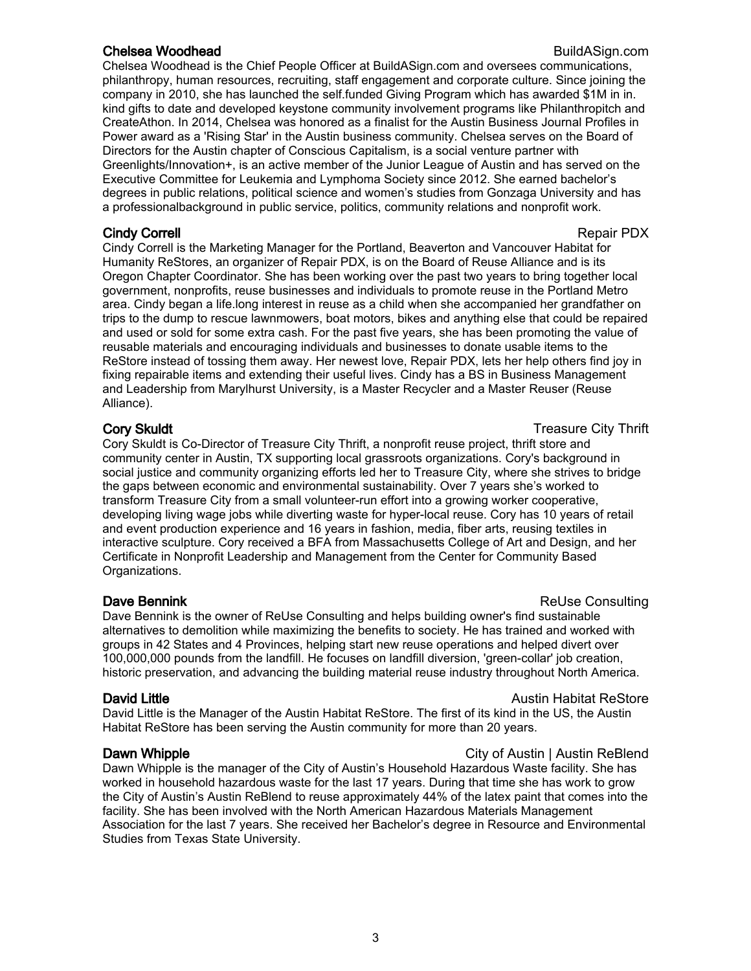### **Chelsea Woodhead Build** Build Asign.com

Chelsea Woodhead is the Chief People Officer at BuildASign.com and oversees communications, philanthropy, human resources, recruiting, staff engagement and corporate culture. Since joining the company in 2010, she has launched the self.funded Giving Program which has awarded \$1M in in. kind gifts to date and developed keystone community involvement programs like Philanthropitch and CreateAthon. In 2014, Chelsea was honored as a finalist for the Austin Business Journal Profiles in Power award as a 'Rising Star' in the Austin business community. Chelsea serves on the Board of Directors for the Austin chapter of Conscious Capitalism, is a social venture partner with Greenlights/Innovation+, is an active member of the Junior League of Austin and has served on the Executive Committee for Leukemia and Lymphoma Society since 2012. She earned bachelor's degrees in public relations, political science and women's studies from Gonzaga University and has a professionalbackground in public service, politics, community relations and nonprofit work.

### **Cindy Correll Contract Contract Contract Contract Contract Contract Contract Contract Contract Contract Contract Contract Contract Contract Contract Contract Contract Contract Contract Contract Contract Contract Contract**

Cindy Correll is the Marketing Manager for the Portland, Beaverton and Vancouver Habitat for Humanity ReStores, an organizer of Repair PDX, is on the Board of Reuse Alliance and is its Oregon Chapter Coordinator. She has been working over the past two years to bring together local government, nonprofits, reuse businesses and individuals to promote reuse in the Portland Metro area. Cindy began a life.long interest in reuse as a child when she accompanied her grandfather on trips to the dump to rescue lawnmowers, boat motors, bikes and anything else that could be repaired and used or sold for some extra cash. For the past five years, she has been promoting the value of reusable materials and encouraging individuals and businesses to donate usable items to the ReStore instead of tossing them away. Her newest love, Repair PDX, lets her help others find joy in fixing repairable items and extending their useful lives. Cindy has a BS in Business Management and Leadership from Marylhurst University, is a Master Recycler and a Master Reuser (Reuse Alliance).

Cory Skuldt is Co-Director of Treasure City Thrift, a nonprofit reuse project, thrift store and community center in Austin, TX supporting local grassroots organizations. Cory's background in social justice and community organizing efforts led her to Treasure City, where she strives to bridge the gaps between economic and environmental sustainability. Over 7 years she's worked to transform Treasure City from a small volunteer-run effort into a growing worker cooperative, developing living wage jobs while diverting waste for hyper-local reuse. Cory has 10 years of retail and event production experience and 16 years in fashion, media, fiber arts, reusing textiles in interactive sculpture. Cory received a BFA from Massachusetts College of Art and Design, and her Certificate in Nonprofit Leadership and Management from the Center for Community Based Organizations.

### **Dave Bennink Consulting Consulting Consulting Consulting Consulting Consulting Consulting Consulting Consulting Consulting Consulting Consulting Consulting Consulting Consulting Consulting Consulting Consulting Consulting**

Dave Bennink is the owner of ReUse Consulting and helps building owner's find sustainable alternatives to demolition while maximizing the benefits to society. He has trained and worked with groups in 42 States and 4 Provinces, helping start new reuse operations and helped divert over 100,000,000 pounds from the landfill. He focuses on landfill diversion, 'green-collar' job creation, historic preservation, and advancing the building material reuse industry throughout North America.

### **David Little Austin Habitat ReStore Contract Restore** Austin Habitat ReStore

David Little is the Manager of the Austin Habitat ReStore. The first of its kind in the US, the Austin Habitat ReStore has been serving the Austin community for more than 20 years.

### **Dawn Whipple City of Austin I Austin ReBlend**

Dawn Whipple is the manager of the City of Austin's Household Hazardous Waste facility. She has worked in household hazardous waste for the last 17 years. During that time she has work to grow the City of Austin's Austin ReBlend to reuse approximately 44% of the latex paint that comes into the facility. She has been involved with the North American Hazardous Materials Management Association for the last 7 years. She received her Bachelor's degree in Resource and Environmental Studies from Texas State University.

**Cory Skuldt** Cory Skuldt Cory Skuldt Cory Skuldt Cory Skuldt Cory Skuldt Cory Skuldt Cory Treasure City Thrift Cory Skuldt Cory Skuldt Cory Skuldt Cory Skuldt Cory Skuldt Cory Skuldt Cory Skuldt Cory Skuldt Cory Skuldt Co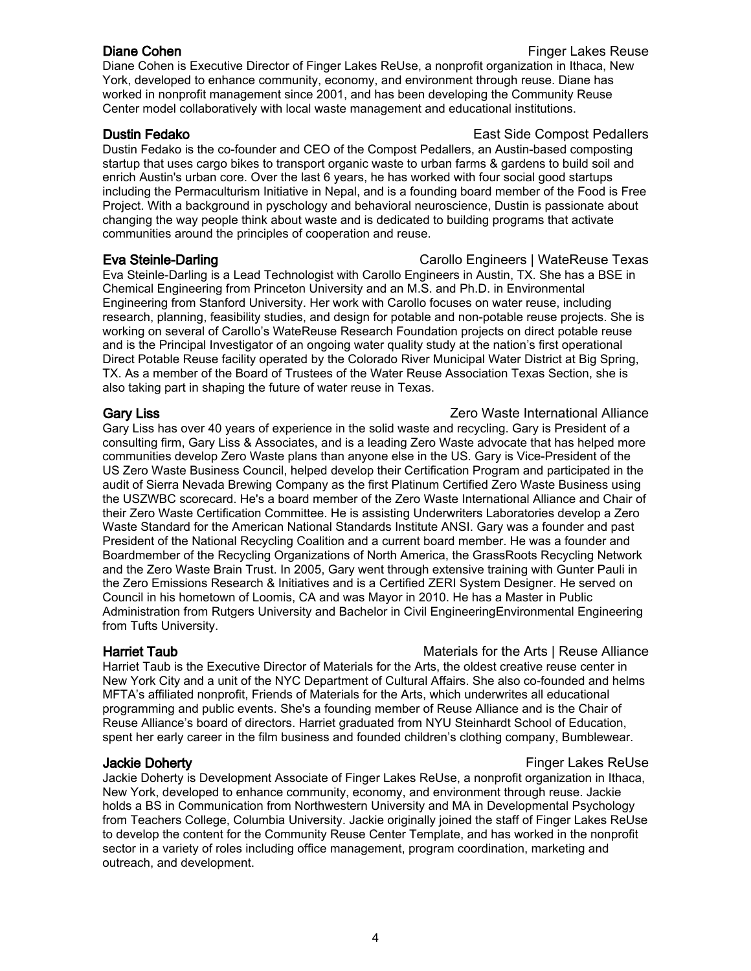Diane Cohen is Executive Director of Finger Lakes ReUse, a nonprofit organization in Ithaca, New York, developed to enhance community, economy, and environment through reuse. Diane has worked in nonprofit management since 2001, and has been developing the Community Reuse Center model collaboratively with local waste management and educational institutions.

Dustin Fedako is the co-founder and CEO of the Compost Pedallers, an Austin-based composting startup that uses cargo bikes to transport organic waste to urban farms & gardens to build soil and enrich Austin's urban core. Over the last 6 years, he has worked with four social good startups including the Permaculturism Initiative in Nepal, and is a founding board member of the Food is Free Project. With a background in pyschology and behavioral neuroscience, Dustin is passionate about changing the way people think about waste and is dedicated to building programs that activate communities around the principles of cooperation and reuse.

Eva Steinle-Darling Carollo Engineers | WateReuse Texas Eva Steinle-Darling is a Lead Technologist with Carollo Engineers in Austin, TX. She has a BSE in Chemical Engineering from Princeton University and an M.S. and Ph.D. in Environmental Engineering from Stanford University. Her work with Carollo focuses on water reuse, including research, planning, feasibility studies, and design for potable and non-potable reuse projects. She is working on several of Carollo's WateReuse Research Foundation projects on direct potable reuse and is the Principal Investigator of an ongoing water quality study at the nation's first operational Direct Potable Reuse facility operated by the Colorado River Municipal Water District at Big Spring, TX. As a member of the Board of Trustees of the Water Reuse Association Texas Section, she is also taking part in shaping the future of water reuse in Texas.

# Gary Liss **Gary Liss Cancellace Contract Contract Contract Contract Contract Contract Contract Contract Contract Contract Contract Contract Contract Contract Contract Contract Contract Contract Contract Contract Contra**

Gary Liss has over 40 years of experience in the solid waste and recycling. Gary is President of a consulting firm, Gary Liss & Associates, and is a leading Zero Waste advocate that has helped more communities develop Zero Waste plans than anyone else in the US. Gary is Vice-President of the US Zero Waste Business Council, helped develop their Certification Program and participated in the audit of Sierra Nevada Brewing Company as the first Platinum Certified Zero Waste Business using the USZWBC scorecard. He's a board member of the Zero Waste International Alliance and Chair of their Zero Waste Certification Committee. He is assisting Underwriters Laboratories develop a Zero Waste Standard for the American National Standards Institute ANSI. Gary was a founder and past President of the National Recycling Coalition and a current board member. He was a founder and Boardmember of the Recycling Organizations of North America, the GrassRoots Recycling Network and the Zero Waste Brain Trust. In 2005, Gary went through extensive training with Gunter Pauli in the Zero Emissions Research & Initiatives and is a Certified ZERI System Designer. He served on Council in his hometown of Loomis, CA and was Mayor in 2010. He has a Master in Public Administration from Rutgers University and Bachelor in Civil EngineeringEnvironmental Engineering from Tufts University.

# **Harriet Taub Materials for the Arts | Reuse Alliance**

Harriet Taub is the Executive Director of Materials for the Arts, the oldest creative reuse center in New York City and a unit of the NYC Department of Cultural Affairs. She also co-founded and helms MFTA's affiliated nonprofit, Friends of Materials for the Arts, which underwrites all educational programming and public events. She's a founding member of Reuse Alliance and is the Chair of Reuse Alliance's board of directors. Harriet graduated from NYU Steinhardt School of Education, spent her early career in the film business and founded children's clothing company, Bumblewear.

# **Jackie Doherty Finger Lakes ReUse Finger Lakes ReUse**

Jackie Doherty is Development Associate of Finger Lakes ReUse, a nonprofit organization in Ithaca, New York, developed to enhance community, economy, and environment through reuse. Jackie holds a BS in Communication from Northwestern University and MA in Developmental Psychology from Teachers College, Columbia University. Jackie originally joined the staff of Finger Lakes ReUse to develop the content for the Community Reuse Center Template, and has worked in the nonprofit sector in a variety of roles including office management, program coordination, marketing and outreach, and development.

### **Dustin Fedako East Side Compost Pedallers East Side Compost Pedallers**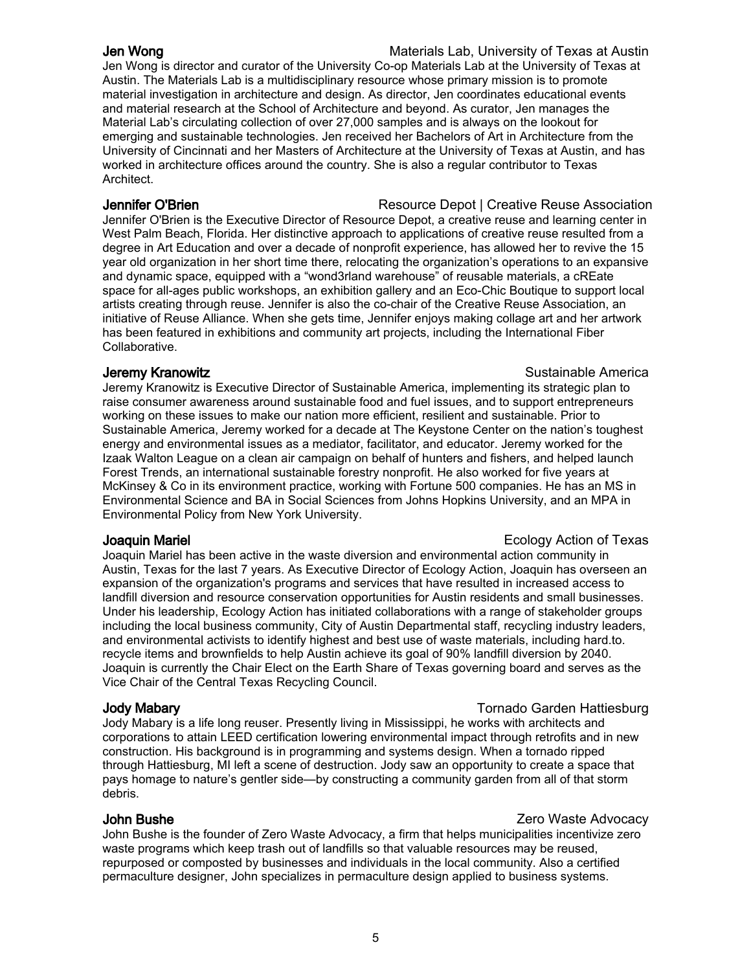**Jen Wong** Materials Lab, University of Texas at Austin Jen Wong is director and curator of the University Co-op Materials Lab at the University of Texas at Austin. The Materials Lab is a multidisciplinary resource whose primary mission is to promote material investigation in architecture and design. As director, Jen coordinates educational events and material research at the School of Architecture and beyond. As curator, Jen manages the Material Lab's circulating collection of over 27,000 samples and is always on the lookout for emerging and sustainable technologies. Jen received her Bachelors of Art in Architecture from the University of Cincinnati and her Masters of Architecture at the University of Texas at Austin, and has worked in architecture offices around the country. She is also a regular contributor to Texas Architect.

**Jennifer O'Brien Channel Community Community Community** Resource Depot | Creative Reuse Association Jennifer O'Brien is the Executive Director of Resource Depot, a creative reuse and learning center in West Palm Beach, Florida. Her distinctive approach to applications of creative reuse resulted from a degree in Art Education and over a decade of nonprofit experience, has allowed her to revive the 15 year old organization in her short time there, relocating the organization's operations to an expansive and dynamic space, equipped with a "wond3rland warehouse" of reusable materials, a cREate space for all-ages public workshops, an exhibition gallery and an Eco-Chic Boutique to support local artists creating through reuse. Jennifer is also the co-chair of the Creative Reuse Association, an initiative of Reuse Alliance. When she gets time, Jennifer enjoys making collage art and her artwork has been featured in exhibitions and community art projects, including the International Fiber Collaborative.

### **Jeremy Kranowitz Sustainable America Sustainable America Sustainable America**

Jeremy Kranowitz is Executive Director of Sustainable America, implementing its strategic plan to raise consumer awareness around sustainable food and fuel issues, and to support entrepreneurs working on these issues to make our nation more efficient, resilient and sustainable. Prior to Sustainable America, Jeremy worked for a decade at The Keystone Center on the nation's toughest energy and environmental issues as a mediator, facilitator, and educator. Jeremy worked for the Izaak Walton League on a clean air campaign on behalf of hunters and fishers, and helped launch Forest Trends, an international sustainable forestry nonprofit. He also worked for five years at McKinsey & Co in its environment practice, working with Fortune 500 companies. He has an MS in Environmental Science and BA in Social Sciences from Johns Hopkins University, and an MPA in Environmental Policy from New York University.

### **Joaquin Mariel Superior Contract Contract Contract Contract Contract Contract Contract Contract Contract Contract Contract Contract Contract Contract Contract Contract Contract Contract Contract Contract Contract Contr**

Joaquin Mariel has been active in the waste diversion and environmental action community in Austin, Texas for the last 7 years. As Executive Director of Ecology Action, Joaquin has overseen an expansion of the organization's programs and services that have resulted in increased access to landfill diversion and resource conservation opportunities for Austin residents and small businesses. Under his leadership, Ecology Action has initiated collaborations with a range of stakeholder groups including the local business community, City of Austin Departmental staff, recycling industry leaders, and environmental activists to identify highest and best use of waste materials, including hard.to. recycle items and brownfields to help Austin achieve its goal of 90% landfill diversion by 2040. Joaquin is currently the Chair Elect on the Earth Share of Texas governing board and serves as the Vice Chair of the Central Texas Recycling Council.

Jody Mabary is a life long reuser. Presently living in Mississippi, he works with architects and corporations to attain LEED certification lowering environmental impact through retrofits and in new construction. His background is in programming and systems design. When a tornado ripped through Hattiesburg, MI left a scene of destruction. Jody saw an opportunity to create a space that pays homage to nature's gentler side—by constructing a community garden from all of that storm debris.

### John Bushe Zero Waste Advocacy

John Bushe is the founder of Zero Waste Advocacy, a firm that helps municipalities incentivize zero waste programs which keep trash out of landfills so that valuable resources may be reused, repurposed or composted by businesses and individuals in the local community. Also a certified permaculture designer, John specializes in permaculture design applied to business systems.

### Jody Mabary Tornado Garden Hattiesburg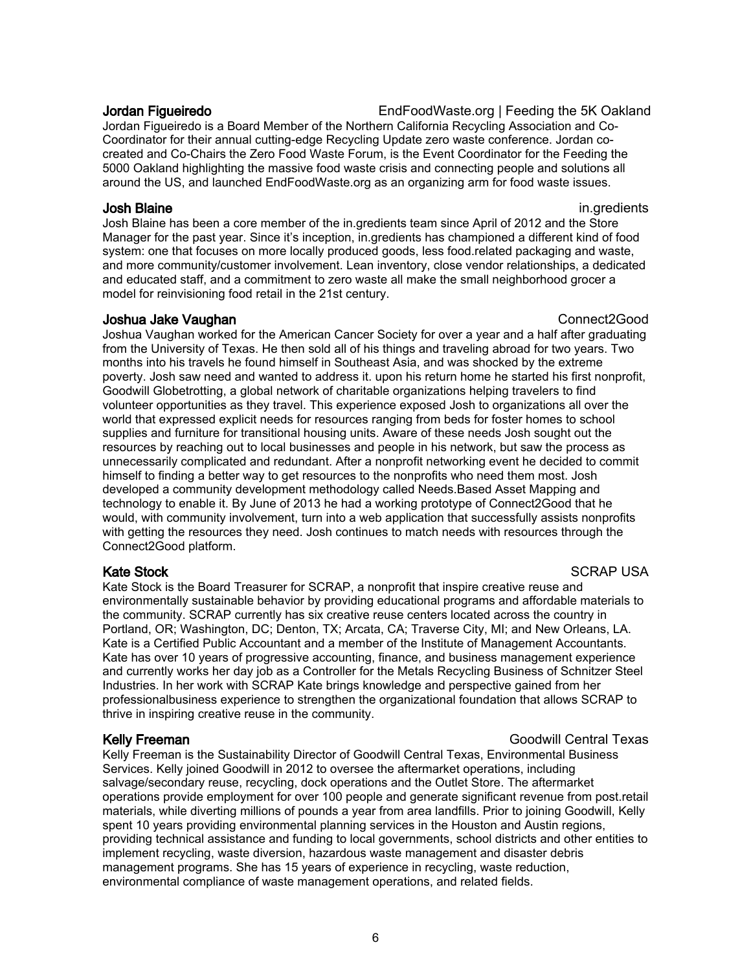Jordan Figueiredo **EndFoodWaste.org | Feeding the 5K Oakland** 

Jordan Figueiredo is a Board Member of the Northern California Recycling Association and Co-Coordinator for their annual cutting-edge Recycling Update zero waste conference. Jordan cocreated and Co-Chairs the Zero Food Waste Forum, is the Event Coordinator for the Feeding the 5000 Oakland highlighting the massive food waste crisis and connecting people and solutions all around the US, and launched EndFoodWaste.org as an organizing arm for food waste issues.

### **Josh Blaine** in.gredients **in.gredients**

Josh Blaine has been a core member of the in.gredients team since April of 2012 and the Store Manager for the past year. Since it's inception, in.gredients has championed a different kind of food system: one that focuses on more locally produced goods, less food.related packaging and waste, and more community/customer involvement. Lean inventory, close vendor relationships, a dedicated and educated staff, and a commitment to zero waste all make the small neighborhood grocer a model for reinvisioning food retail in the 21st century.

### **Joshua Jake Vaughan Connect2Good** Connect2Good

Joshua Vaughan worked for the American Cancer Society for over a year and a half after graduating from the University of Texas. He then sold all of his things and traveling abroad for two years. Two months into his travels he found himself in Southeast Asia, and was shocked by the extreme poverty. Josh saw need and wanted to address it. upon his return home he started his first nonprofit, Goodwill Globetrotting, a global network of charitable organizations helping travelers to find volunteer opportunities as they travel. This experience exposed Josh to organizations all over the world that expressed explicit needs for resources ranging from beds for foster homes to school supplies and furniture for transitional housing units. Aware of these needs Josh sought out the resources by reaching out to local businesses and people in his network, but saw the process as unnecessarily complicated and redundant. After a nonprofit networking event he decided to commit himself to finding a better way to get resources to the nonprofits who need them most. Josh developed a community development methodology called Needs.Based Asset Mapping and technology to enable it. By June of 2013 he had a working prototype of Connect2Good that he would, with community involvement, turn into a web application that successfully assists nonprofits with getting the resources they need. Josh continues to match needs with resources through the Connect2Good platform.

Kate Stock is the Board Treasurer for SCRAP, a nonprofit that inspire creative reuse and environmentally sustainable behavior by providing educational programs and affordable materials to the community. SCRAP currently has six creative reuse centers located across the country in Portland, OR; Washington, DC; Denton, TX; Arcata, CA; Traverse City, MI; and New Orleans, LA. Kate is a Certified Public Accountant and a member of the Institute of Management Accountants. Kate has over 10 years of progressive accounting, finance, and business management experience and currently works her day job as a Controller for the Metals Recycling Business of Schnitzer Steel Industries. In her work with SCRAP Kate brings knowledge and perspective gained from her professionalbusiness experience to strengthen the organizational foundation that allows SCRAP to thrive in inspiring creative reuse in the community.

### Kelly Freeman Goodwill Central Texas

Kelly Freeman is the Sustainability Director of Goodwill Central Texas, Environmental Business Services. Kelly joined Goodwill in 2012 to oversee the aftermarket operations, including salvage/secondary reuse, recycling, dock operations and the Outlet Store. The aftermarket operations provide employment for over 100 people and generate significant revenue from post.retail materials, while diverting millions of pounds a year from area landfills. Prior to joining Goodwill, Kelly spent 10 years providing environmental planning services in the Houston and Austin regions, providing technical assistance and funding to local governments, school districts and other entities to implement recycling, waste diversion, hazardous waste management and disaster debris management programs. She has 15 years of experience in recycling, waste reduction, environmental compliance of waste management operations, and related fields.

Kate Stock SCRAP USA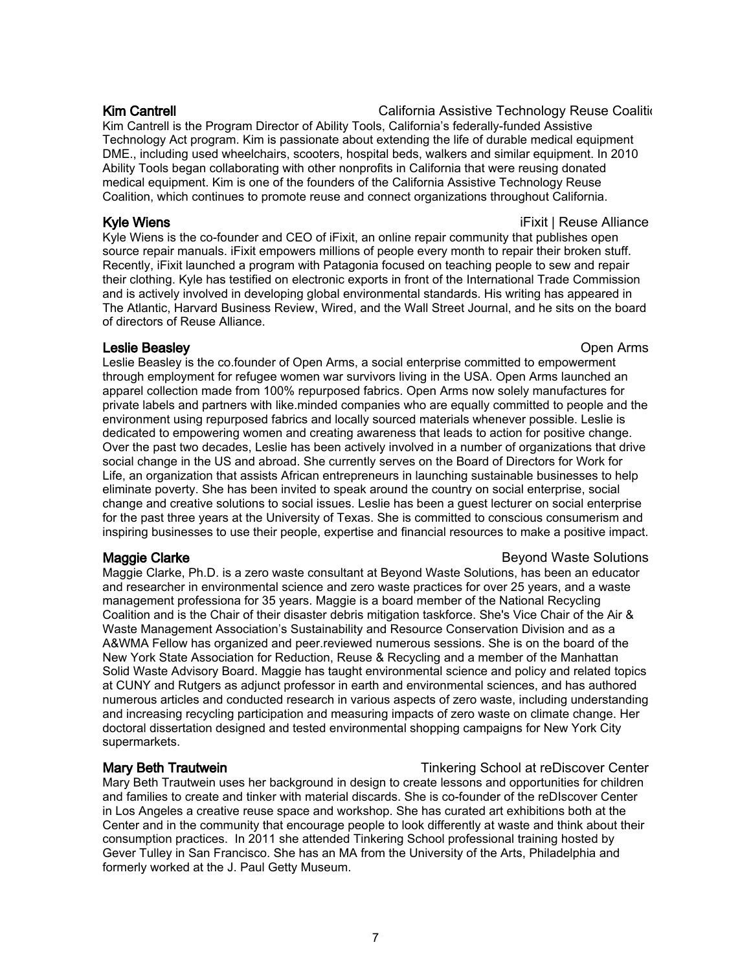Kim Cantrell **California Assistive Technology Reuse Coaliti**ng Kim Cantrell is the Program Director of Ability Tools, California's federally-funded Assistive Technology Act program. Kim is passionate about extending the life of durable medical equipment DME., including used wheelchairs, scooters, hospital beds, walkers and similar equipment. In 2010 Ability Tools began collaborating with other nonprofits in California that were reusing donated medical equipment. Kim is one of the founders of the California Assistive Technology Reuse Coalition, which continues to promote reuse and connect organizations throughout California.

### Kyle Wiens iFixit | Reuse Alliance in the unit of the unit of the unit of the unit of the unit of the unit of the unit of the unit of the unit of the unit of the unit of the unit of the unit of the unit of the unit of the

Kyle Wiens is the co-founder and CEO of iFixit, an online repair community that publishes open source repair manuals. iFixit empowers millions of people every month to repair their broken stuff. Recently, iFixit launched a program with Patagonia focused on teaching people to sew and repair their clothing. Kyle has testified on electronic exports in front of the International Trade Commission and is actively involved in developing global environmental standards. His writing has appeared in The Atlantic, Harvard Business Review, Wired, and the Wall Street Journal, and he sits on the board of directors of Reuse Alliance.

### **Leslie Beasley Community Community Community Community Community Community Community Community Community Community**

Leslie Beasley is the co.founder of Open Arms, a social enterprise committed to empowerment through employment for refugee women war survivors living in the USA. Open Arms launched an apparel collection made from 100% repurposed fabrics. Open Arms now solely manufactures for private labels and partners with like.minded companies who are equally committed to people and the environment using repurposed fabrics and locally sourced materials whenever possible. Leslie is dedicated to empowering women and creating awareness that leads to action for positive change. Over the past two decades, Leslie has been actively involved in a number of organizations that drive social change in the US and abroad. She currently serves on the Board of Directors for Work for Life, an organization that assists African entrepreneurs in launching sustainable businesses to help eliminate poverty. She has been invited to speak around the country on social enterprise, social change and creative solutions to social issues. Leslie has been a guest lecturer on social enterprise for the past three years at the University of Texas. She is committed to conscious consumerism and inspiring businesses to use their people, expertise and financial resources to make a positive impact.

Maggie Clarke, Ph.D. is a zero waste consultant at Beyond Waste Solutions, has been an educator and researcher in environmental science and zero waste practices for over 25 years, and a waste management professiona for 35 years. Maggie is a board member of the National Recycling Coalition and is the Chair of their disaster debris mitigation taskforce. She's Vice Chair of the Air & Waste Management Association's Sustainability and Resource Conservation Division and as a A&WMA Fellow has organized and peer.reviewed numerous sessions. She is on the board of the New York State Association for Reduction, Reuse & Recycling and a member of the Manhattan Solid Waste Advisory Board. Maggie has taught environmental science and policy and related topics at CUNY and Rutgers as adjunct professor in earth and environmental sciences, and has authored numerous articles and conducted research in various aspects of zero waste, including understanding and increasing recycling participation and measuring impacts of zero waste on climate change. Her doctoral dissertation designed and tested environmental shopping campaigns for New York City supermarkets.

Mary Beth Trautwein uses her background in design to create lessons and opportunities for children and families to create and tinker with material discards. She is co-founder of the reDIscover Center in Los Angeles a creative reuse space and workshop. She has curated art exhibitions both at the Center and in the community that encourage people to look differently at waste and think about their consumption practices. In 2011 she attended Tinkering School professional training hosted by Gever Tulley in San Francisco. She has an MA from the University of the Arts, Philadelphia and formerly worked at the J. Paul Getty Museum.

### **Maggie Clarke** Beyond Waste Solutions **Beyond Waste Solutions**

# Mary Beth Trautwein **The Community Community** Tinkering School at reDiscover Center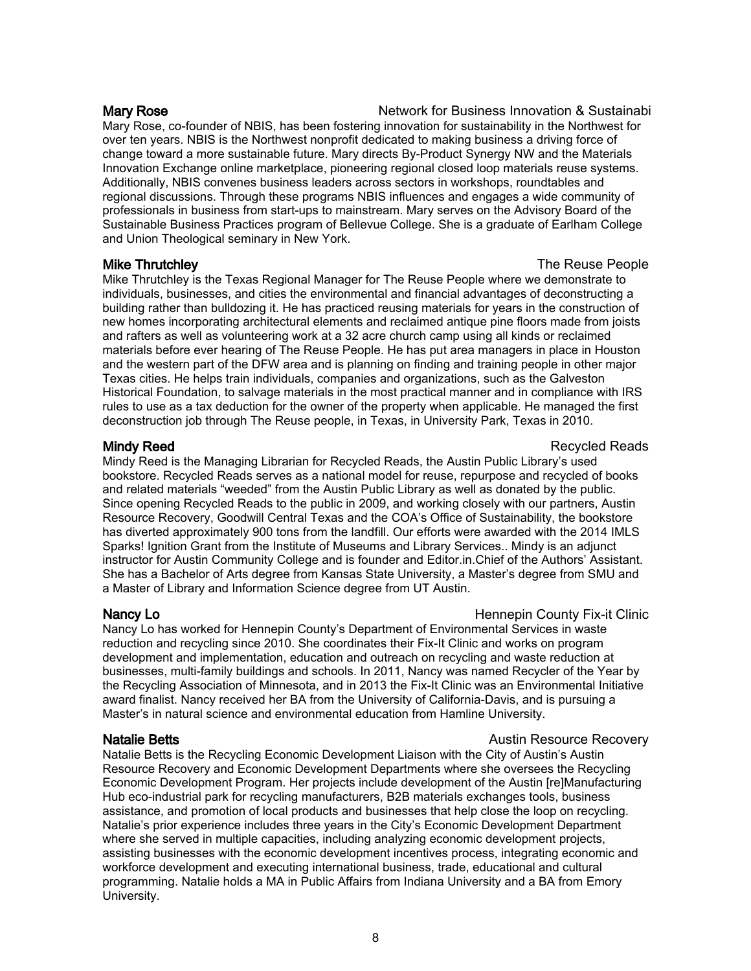Mary Rose **Network for Business Innovation & Sustainability** Network for Business Innovation & Sustainability Mary Rose, co-founder of NBIS, has been fostering innovation for sustainability in the Northwest for over ten years. NBIS is the Northwest nonprofit dedicated to making business a driving force of change toward a more sustainable future. Mary directs By-Product Synergy NW and the Materials Innovation Exchange online marketplace, pioneering regional closed loop materials reuse systems. Additionally, NBIS convenes business leaders across sectors in workshops, roundtables and regional discussions. Through these programs NBIS influences and engages a wide community of professionals in business from start-ups to mainstream. Mary serves on the Advisory Board of the Sustainable Business Practices program of Bellevue College. She is a graduate of Earlham College and Union Theological seminary in New York.

### **Mike Thrutchley The Reuse People**

Mike Thrutchley is the Texas Regional Manager for The Reuse People where we demonstrate to individuals, businesses, and cities the environmental and financial advantages of deconstructing a building rather than bulldozing it. He has practiced reusing materials for years in the construction of new homes incorporating architectural elements and reclaimed antique pine floors made from joists and rafters as well as volunteering work at a 32 acre church camp using all kinds or reclaimed materials before ever hearing of The Reuse People. He has put area managers in place in Houston and the western part of the DFW area and is planning on finding and training people in other major Texas cities. He helps train individuals, companies and organizations, such as the Galveston Historical Foundation, to salvage materials in the most practical manner and in compliance with IRS rules to use as a tax deduction for the owner of the property when applicable. He managed the first deconstruction job through The Reuse people, in Texas, in University Park, Texas in 2010.

Mindy Reed is the Managing Librarian for Recycled Reads, the Austin Public Library's used bookstore. Recycled Reads serves as a national model for reuse, repurpose and recycled of books and related materials "weeded" from the Austin Public Library as well as donated by the public. Since opening Recycled Reads to the public in 2009, and working closely with our partners, Austin Resource Recovery, Goodwill Central Texas and the COA's Office of Sustainability, the bookstore has diverted approximately 900 tons from the landfill. Our efforts were awarded with the 2014 IMLS Sparks! Ignition Grant from the Institute of Museums and Library Services.. Mindy is an adjunct instructor for Austin Community College and is founder and Editor.in.Chief of the Authors' Assistant. She has a Bachelor of Arts degree from Kansas State University, a Master's degree from SMU and a Master of Library and Information Science degree from UT Austin.

Nancy Lo has worked for Hennepin County's Department of Environmental Services in waste reduction and recycling since 2010. She coordinates their Fix-It Clinic and works on program development and implementation, education and outreach on recycling and waste reduction at businesses, multi-family buildings and schools. In 2011, Nancy was named Recycler of the Year by the Recycling Association of Minnesota, and in 2013 the Fix-It Clinic was an Environmental Initiative award finalist. Nancy received her BA from the University of California-Davis, and is pursuing a Master's in natural science and environmental education from Hamline University.

Natalie Betts is the Recycling Economic Development Liaison with the City of Austin's Austin Resource Recovery and Economic Development Departments where she oversees the Recycling Economic Development Program. Her projects include development of the Austin [re]Manufacturing Hub eco-industrial park for recycling manufacturers, B2B materials exchanges tools, business assistance, and promotion of local products and businesses that help close the loop on recycling. Natalie's prior experience includes three years in the City's Economic Development Department where she served in multiple capacities, including analyzing economic development projects, assisting businesses with the economic development incentives process, integrating economic and workforce development and executing international business, trade, educational and cultural programming. Natalie holds a MA in Public Affairs from Indiana University and a BA from Emory University.

### Mindy Reed **Reads Mindy Recycled Reads**

### Nancy Lo **Nancy Lo Nancy Lo County Fix-it Clinic Hennepin County Fix-it Clinic**

### **Natalie Betts** Australian Resource Recovery **Natalie Betts** Australian Resource Recovery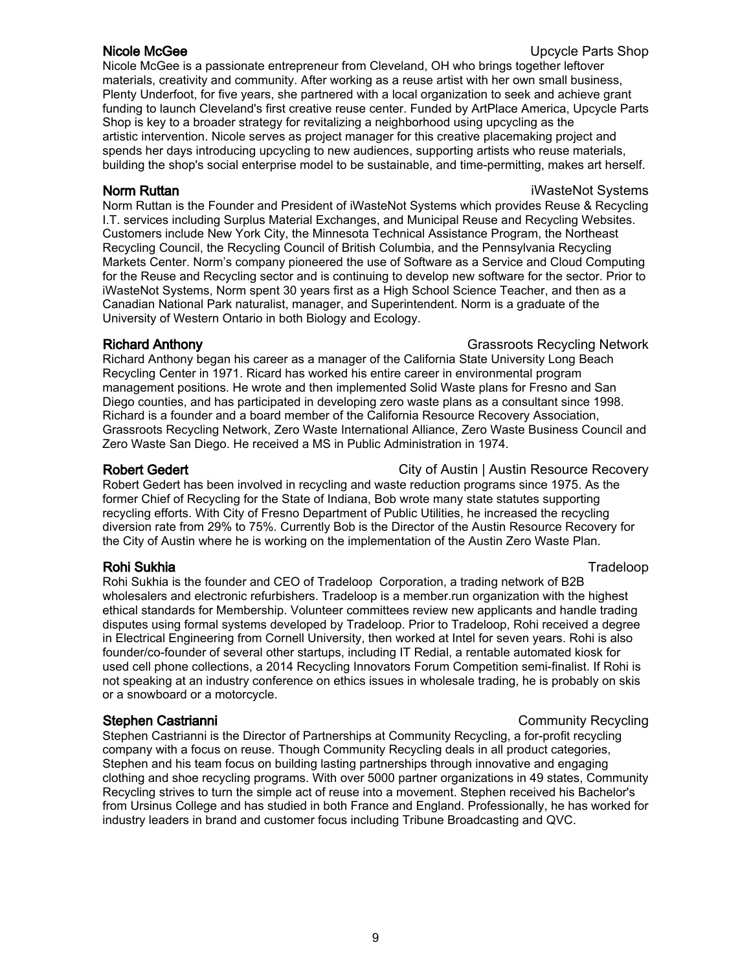# **Nicole McGee** Upcycle Parts Shop

Nicole McGee is a passionate entrepreneur from Cleveland, OH who brings together leftover materials, creativity and community. After working as a reuse artist with her own small business, Plenty Underfoot, for five years, she partnered with a local organization to seek and achieve grant funding to launch Cleveland's first creative reuse center. Funded by ArtPlace America, Upcycle Parts Shop is key to a broader strategy for revitalizing a neighborhood using upcycling as the artistic intervention. Nicole serves as project manager for this creative placemaking project and spends her days introducing upcycling to new audiences, supporting artists who reuse materials, building the shop's social enterprise model to be sustainable, and time-permitting, makes art herself.

Norm Ruttan is the Founder and President of iWasteNot Systems which provides Reuse & Recycling I.T. services including Surplus Material Exchanges, and Municipal Reuse and Recycling Websites. Customers include New York City, the Minnesota Technical Assistance Program, the Northeast Recycling Council, the Recycling Council of British Columbia, and the Pennsylvania Recycling Markets Center. Norm's company pioneered the use of Software as a Service and Cloud Computing for the Reuse and Recycling sector and is continuing to develop new software for the sector. Prior to iWasteNot Systems, Norm spent 30 years first as a High School Science Teacher, and then as a Canadian National Park naturalist, manager, and Superintendent. Norm is a graduate of the University of Western Ontario in both Biology and Ecology.

### Richard Anthony **Grassroots Recycling Network** Grassroots Recycling Network

Richard Anthony began his career as a manager of the California State University Long Beach Recycling Center in 1971. Ricard has worked his entire career in environmental program management positions. He wrote and then implemented Solid Waste plans for Fresno and San Diego counties, and has participated in developing zero waste plans as a consultant since 1998. Richard is a founder and a board member of the California Resource Recovery Association, Grassroots Recycling Network, Zero Waste International Alliance, Zero Waste Business Council and Zero Waste San Diego. He received a MS in Public Administration in 1974.

Robert Gedert **City of Austin | Austin Resource Recovery** Robert Gedert has been involved in recycling and waste reduction programs since 1975. As the former Chief of Recycling for the State of Indiana, Bob wrote many state statutes supporting recycling efforts. With City of Fresno Department of Public Utilities, he increased the recycling diversion rate from 29% to 75%. Currently Bob is the Director of the Austin Resource Recovery for the City of Austin where he is working on the implementation of the Austin Zero Waste Plan.

# Rohi Sukhia Tradeloop

Rohi Sukhia is the founder and CEO of Tradeloop Corporation, a trading network of B2B wholesalers and electronic refurbishers. Tradeloop is a member.run organization with the highest ethical standards for Membership. Volunteer committees review new applicants and handle trading disputes using formal systems developed by Tradeloop. Prior to Tradeloop, Rohi received a degree in Electrical Engineering from Cornell University, then worked at Intel for seven years. Rohi is also founder/co-founder of several other startups, including IT Redial, a rentable automated kiosk for used cell phone collections, a 2014 Recycling Innovators Forum Competition semi-finalist. If Rohi is not speaking at an industry conference on ethics issues in wholesale trading, he is probably on skis or a snowboard or a motorcycle.

### Stephen Castrianni **Community Recycling** Community Recycling

Stephen Castrianni is the Director of Partnerships at Community Recycling, a for-profit recycling company with a focus on reuse. Though Community Recycling deals in all product categories, Stephen and his team focus on building lasting partnerships through innovative and engaging clothing and shoe recycling programs. With over 5000 partner organizations in 49 states, Community Recycling strives to turn the simple act of reuse into a movement. Stephen received his Bachelor's from Ursinus College and has studied in both France and England. Professionally, he has worked for industry leaders in brand and customer focus including Tribune Broadcasting and QVC.

**Norm Ruttan iWasteNot Systems** iWasteNot Systems